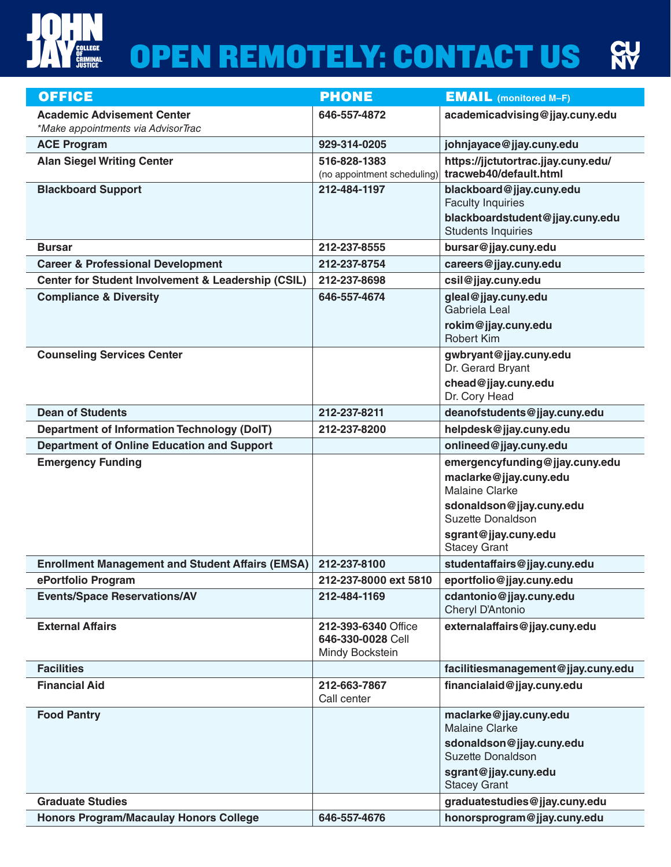

## **OPEN REMOTELY: CONTACT US RY**

| <b>OFFICE</b>                                                 | <b>PHONE</b>                                | <b>EMAIL</b> (monitored M-F)                                  |
|---------------------------------------------------------------|---------------------------------------------|---------------------------------------------------------------|
| <b>Academic Advisement Center</b>                             | 646-557-4872                                | academicadvising@jjay.cuny.edu                                |
| *Make appointments via AdvisorTrac                            |                                             |                                                               |
| <b>ACE Program</b>                                            | 929-314-0205                                | johnjayace@jjay.cuny.edu                                      |
| <b>Alan Siegel Writing Center</b>                             | 516-828-1383<br>(no appointment scheduling) | https://jjctutortrac.jjay.cuny.edu/<br>tracweb40/default.html |
| <b>Blackboard Support</b>                                     | 212-484-1197                                | blackboard@jjay.cuny.edu                                      |
|                                                               |                                             | <b>Faculty Inquiries</b>                                      |
|                                                               |                                             | blackboardstudent@jjay.cuny.edu<br><b>Students Inquiries</b>  |
| <b>Bursar</b>                                                 | 212-237-8555                                | bursar@jjay.cuny.edu                                          |
| <b>Career &amp; Professional Development</b>                  | 212-237-8754                                | careers@jjay.cuny.edu                                         |
| <b>Center for Student Involvement &amp; Leadership (CSIL)</b> | 212-237-8698                                | csil@jjay.cuny.edu                                            |
| <b>Compliance &amp; Diversity</b>                             | 646-557-4674                                | gleal@jjay.cuny.edu                                           |
|                                                               |                                             | Gabriela Leal                                                 |
|                                                               |                                             | rokim@jjay.cuny.edu                                           |
|                                                               |                                             | <b>Robert Kim</b>                                             |
| <b>Counseling Services Center</b>                             |                                             | gwbryant@jjay.cuny.edu<br>Dr. Gerard Bryant                   |
|                                                               |                                             | chead@jjay.cuny.edu                                           |
|                                                               |                                             | Dr. Cory Head                                                 |
| <b>Dean of Students</b>                                       | 212-237-8211                                | deanofstudents@jjay.cuny.edu                                  |
| <b>Department of Information Technology (DoIT)</b>            | 212-237-8200                                | helpdesk@jjay.cuny.edu                                        |
| <b>Department of Online Education and Support</b>             |                                             | onlineed@jjay.cuny.edu                                        |
|                                                               |                                             |                                                               |
| <b>Emergency Funding</b>                                      |                                             | emergencyfunding@jjay.cuny.edu                                |
|                                                               |                                             | maclarke@jjay.cuny.edu                                        |
|                                                               |                                             | <b>Malaine Clarke</b>                                         |
|                                                               |                                             | sdonaldson@jjay.cuny.edu                                      |
|                                                               |                                             | Suzette Donaldson                                             |
|                                                               |                                             | sgrant@jjay.cuny.edu<br><b>Stacey Grant</b>                   |
| <b>Enrollment Management and Student Affairs (EMSA)</b>       | 212-237-8100                                | studentaffairs@jjay.cuny.edu                                  |
| ePortfolio Program                                            | 212-237-8000 ext 5810                       | eportfolio@jjay.cuny.edu                                      |
| <b>Events/Space Reservations/AV</b>                           | 212-484-1169                                | cdantonio@jjay.cuny.edu<br>Cheryl D'Antonio                   |
| <b>External Affairs</b>                                       | 212-393-6340 Office                         | externalaffairs@jjay.cuny.edu                                 |
|                                                               | 646-330-0028 Cell                           |                                                               |
|                                                               | Mindy Bockstein                             |                                                               |
| <b>Facilities</b>                                             |                                             | facilitiesmanagement@jjay.cuny.edu                            |
| <b>Financial Aid</b>                                          | 212-663-7867<br>Call center                 | financialaid@jjay.cuny.edu                                    |
| <b>Food Pantry</b>                                            |                                             | maclarke@jjay.cuny.edu<br><b>Malaine Clarke</b>               |
|                                                               |                                             | sdonaldson@jjay.cuny.edu<br>Suzette Donaldson                 |
|                                                               |                                             | sgrant@jjay.cuny.edu<br><b>Stacey Grant</b>                   |
| <b>Graduate Studies</b>                                       |                                             | graduatestudies@jjay.cuny.edu                                 |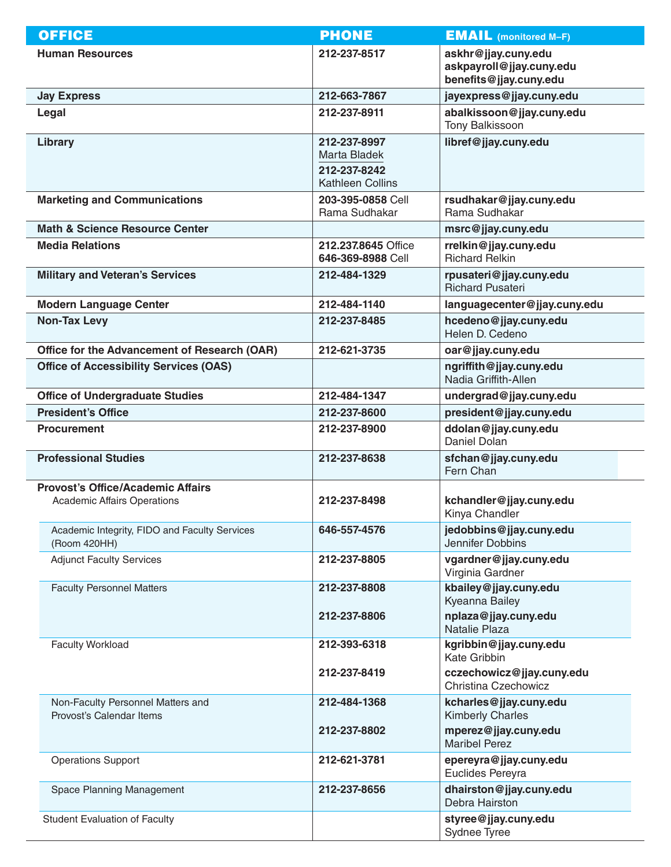| <b>OFFICE</b>                                                                  | <b>PHONE</b>                                                            | <b>EMAIL</b> (monitored M-F)                                              |
|--------------------------------------------------------------------------------|-------------------------------------------------------------------------|---------------------------------------------------------------------------|
| <b>Human Resources</b>                                                         | 212-237-8517                                                            | askhr@jjay.cuny.edu<br>askpayroll@jjay.cuny.edu<br>benefits@jjay.cuny.edu |
| <b>Jay Express</b>                                                             | 212-663-7867                                                            | jayexpress@jjay.cuny.edu                                                  |
| Legal                                                                          | 212-237-8911                                                            | abalkissoon@jjay.cuny.edu<br><b>Tony Balkissoon</b>                       |
| Library                                                                        | 212-237-8997<br>Marta Bladek<br>212-237-8242<br><b>Kathleen Collins</b> | libref@jjay.cuny.edu                                                      |
| <b>Marketing and Communications</b>                                            | 203-395-0858 Cell<br>Rama Sudhakar                                      | rsudhakar@jjay.cuny.edu<br>Rama Sudhakar                                  |
| <b>Math &amp; Science Resource Center</b>                                      |                                                                         | msrc@jjay.cuny.edu                                                        |
| <b>Media Relations</b>                                                         | 212.237.8645 Office<br>646-369-8988 Cell                                | rrelkin@jjay.cuny.edu<br><b>Richard Relkin</b>                            |
| <b>Military and Veteran's Services</b>                                         | 212-484-1329                                                            | rpusateri@jjay.cuny.edu<br><b>Richard Pusateri</b>                        |
| <b>Modern Language Center</b>                                                  | 212-484-1140                                                            | languagecenter@jjay.cuny.edu                                              |
| <b>Non-Tax Levy</b>                                                            | 212-237-8485                                                            | hcedeno@jjay.cuny.edu<br>Helen D. Cedeno                                  |
| Office for the Advancement of Research (OAR)                                   | 212-621-3735                                                            | oar@jjay.cuny.edu                                                         |
| <b>Office of Accessibility Services (OAS)</b>                                  |                                                                         | ngriffith@jjay.cuny.edu<br>Nadia Griffith-Allen                           |
| <b>Office of Undergraduate Studies</b>                                         | 212-484-1347                                                            | undergrad@jjay.cuny.edu                                                   |
| <b>President's Office</b>                                                      | 212-237-8600                                                            | president@jjay.cuny.edu                                                   |
| <b>Procurement</b>                                                             | 212-237-8900                                                            | ddolan@jjay.cuny.edu<br>Daniel Dolan                                      |
| <b>Professional Studies</b>                                                    | 212-237-8638                                                            | sfchan@jjay.cuny.edu<br>Fern Chan                                         |
| <b>Provost's Office/Academic Affairs</b><br><b>Academic Affairs Operations</b> | 212-237-8498                                                            | kchandler@jjay.cuny.edu<br>Kinya Chandler                                 |
| Academic Integrity, FIDO and Faculty Services<br>(Room 420HH)                  | 646-557-4576                                                            | jedobbins@jjay.cuny.edu<br>Jennifer Dobbins                               |
| <b>Adjunct Faculty Services</b>                                                | 212-237-8805                                                            | vgardner@jjay.cuny.edu<br>Virginia Gardner                                |
| <b>Faculty Personnel Matters</b>                                               | 212-237-8808                                                            | kbailey@jjay.cuny.edu<br>Kyeanna Bailey                                   |
|                                                                                | 212-237-8806                                                            | nplaza@jjay.cuny.edu<br>Natalie Plaza                                     |
| <b>Faculty Workload</b>                                                        | 212-393-6318                                                            | kgribbin@jjay.cuny.edu<br>Kate Gribbin                                    |
|                                                                                | 212-237-8419                                                            | cczechowicz@jjay.cuny.edu<br>Christina Czechowicz                         |
| Non-Faculty Personnel Matters and<br>Provost's Calendar Items                  | 212-484-1368                                                            | kcharles@jjay.cuny.edu<br><b>Kimberly Charles</b>                         |
|                                                                                | 212-237-8802                                                            | mperez@jjay.cuny.edu<br><b>Maribel Perez</b>                              |
| <b>Operations Support</b>                                                      | 212-621-3781                                                            | epereyra@jjay.cuny.edu<br>Euclides Pereyra                                |
| <b>Space Planning Management</b>                                               | 212-237-8656                                                            | dhairston@jjay.cuny.edu<br>Debra Hairston                                 |
| <b>Student Evaluation of Faculty</b>                                           |                                                                         | styree@jjay.cuny.edu<br>Sydnee Tyree                                      |